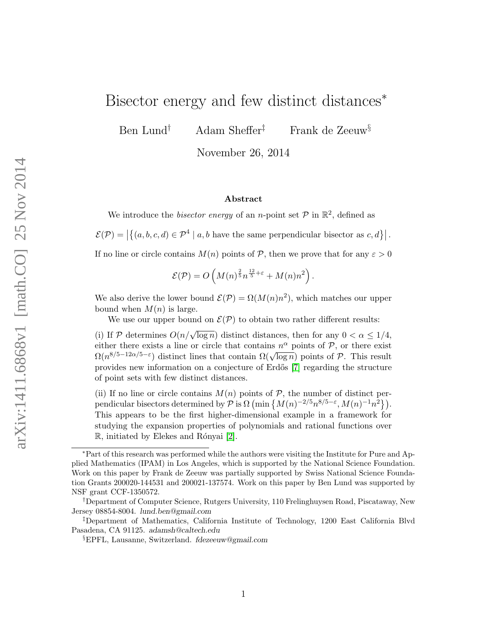# Bisector energy and few distinct distances<sup>\*</sup>

Ben Lund† Adam Sheffer‡ Frank de Zeeuw§

November 26, 2014

#### Abstract

We introduce the *bisector energy* of an *n*-point set  $P$  in  $\mathbb{R}^2$ , defined as

 $\mathcal{E}(\mathcal{P}) = \left| \left\{ (a, b, c, d) \in \mathcal{P}^4 \mid a, b \text{ have the same perpendicular bisector as } c, d \right\} \right|.$ 

If no line or circle contains  $M(n)$  points of P, then we prove that for any  $\varepsilon > 0$ 

$$
\mathcal{E}(\mathcal{P}) = O\left(M(n)^{\frac{2}{5}}n^{\frac{12}{5}+\varepsilon} + M(n)n^2\right).
$$

We also derive the lower bound  $\mathcal{E}(\mathcal{P}) = \Omega(M(n)n^2)$ , which matches our upper bound when  $M(n)$  is large.

We use our upper bound on  $\mathcal{E}(\mathcal{P})$  to obtain two rather different results:

(i) If  $P$  determines  $O(n/\sqrt{\log n})$  distinct distances, then for any  $0 < \alpha \leq 1/4$ , either there exists a line or circle that contains  $n^{\alpha}$  points of P, or there exist  $\Omega(n^{8/5-12\alpha/5-\epsilon})$  distinct lines that contain  $\Omega(\sqrt{\log n})$  points of  $\mathcal P$ . This result provides new information on a conjecture of Erd˝os [\[7\]](#page-16-0) regarding the structure of point sets with few distinct distances.

(ii) If no line or circle contains  $M(n)$  points of  $P$ , the number of distinct perpendicular bisectors determined by  $P$  is  $\Omega$  (min  $\{M(n)^{-2/5}n^{8/5-\varepsilon}, M(n)^{-1}n^2\}$ ). This appears to be the first higher-dimensional example in a framework for studying the expansion properties of polynomials and rational functions over  $\mathbb{R}$ , initiated by Elekes and Rónyai [\[2\]](#page-16-1).

<sup>∗</sup>Part of this research was performed while the authors were visiting the Institute for Pure and Applied Mathematics (IPAM) in Los Angeles, which is supported by the National Science Foundation. Work on this paper by Frank de Zeeuw was partially supported by Swiss National Science Foundation Grants 200020-144531 and 200021-137574. Work on this paper by Ben Lund was supported by NSF grant CCF-1350572.

<sup>†</sup>Department of Computer Science, Rutgers University, 110 Frelinghuysen Road, Piscataway, New Jersey 08854-8004. lund.ben@gmail.com

<sup>‡</sup>Department of Mathematics, California Institute of Technology, 1200 East California Blvd Pasadena, CA 91125. adamsh@caltech.edu

<sup>§</sup>EPFL, Lausanne, Switzerland. fdezeeuw@gmail.com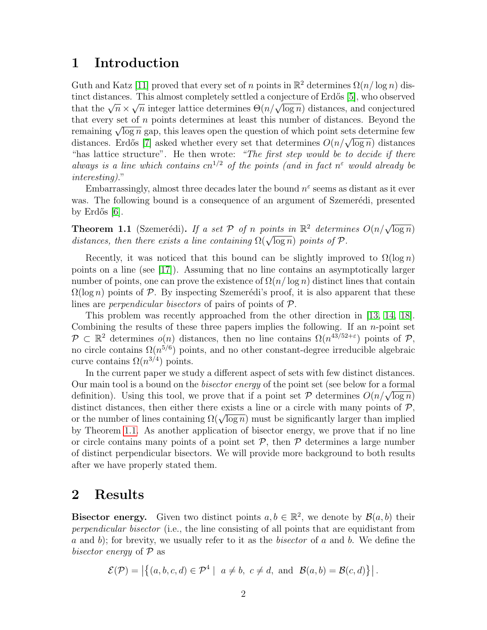### 1 Introduction

Guth and Katz [\[11\]](#page-16-2) proved that every set of n points in  $\mathbb{R}^2$  determines  $\Omega(n/\log n)$  dis-tinct distances. This almost completely settled a conjecture of Erdős [\[5\]](#page-16-3), who observed that the  $\sqrt{n} \times \sqrt{n}$  integer lattice determines  $\Theta(n/\sqrt{\log n})$  distances, and conjectured that every set of  $n$  points determines at least this number of distances. Beyond the remaining  $\sqrt{\log n}$  gap, this leaves open the question of which point sets determine few distances. Erdős [\[7\]](#page-16-0) asked whether every set that determines  $O(n/\sqrt{\log n})$  distances "has lattice structure". He then wrote: "The first step would be to decide if there always is a line which contains  $cn^{1/2}$  of the points (and in fact  $n^{\epsilon}$  would already be interesting)."

Embarrassingly, almost three decades later the bound  $n^{\epsilon}$  seems as distant as it ever was. The following bound is a consequence of an argument of Szemerédi, presented by Erdős  $[6]$ .

<span id="page-1-0"></span>**Theorem 1.1** (Szemerédi). If a set P of n points in  $\mathbb{R}^2$  determines  $O(n/\sqrt{\log n})$ distances, then there exists a line containing  $\Omega(\sqrt{\log n})$  points of  $P$ .

Recently, it was noticed that this bound can be slightly improved to  $\Omega(\log n)$ points on a line (see [\[17\]](#page-17-0)). Assuming that no line contains an asymptotically larger number of points, one can prove the existence of  $\Omega(n/\log n)$  distinct lines that contain  $\Omega(\log n)$  points of P. By inspecting Szemerédi's proof, it is also apparent that these lines are *perpendicular bisectors* of pairs of points of P.

This problem was recently approached from the other direction in [\[13,](#page-16-5) [14,](#page-16-6) [18\]](#page-17-1). Combining the results of these three papers implies the following. If an  $n$ -point set  $\mathcal{P} \subset \mathbb{R}^2$  determines  $o(n)$  distances, then no line contains  $\Omega(n^{43/52+\epsilon})$  points of  $\mathcal{P}$ , no circle contains  $\Omega(n^{5/6})$  points, and no other constant-degree irreducible algebraic curve contains  $\Omega(n^{3/4})$  points.

In the current paper we study a different aspect of sets with few distinct distances. Our main tool is a bound on the *bisector energy* of the point set (see below for a formal definition). Using this tool, we prove that if a point set  $P$  determines  $O(n/\sqrt{\log n})$ distinct distances, then either there exists a line or a circle with many points of  $P$ , or the number of lines containing  $\Omega(\sqrt{\log n})$  must be significantly larger than implied by Theorem [1.1.](#page-1-0) As another application of bisector energy, we prove that if no line or circle contains many points of a point set  $P$ , then  $P$  determines a large number of distinct perpendicular bisectors. We will provide more background to both results after we have properly stated them.

### 2 Results

**Bisector energy.** Given two distinct points  $a, b \in \mathbb{R}^2$ , we denote by  $\mathcal{B}(a, b)$  their perpendicular bisector (i.e., the line consisting of all points that are equidistant from a and b); for brevity, we usually refer to it as the *bisector* of a and b. We define the bisector energy of  $P$  as

$$
\mathcal{E}(\mathcal{P}) = \left| \left\{ (a, b, c, d) \in \mathcal{P}^4 \mid a \neq b, c \neq d, \text{ and } \mathcal{B}(a, b) = \mathcal{B}(c, d) \right\} \right|.
$$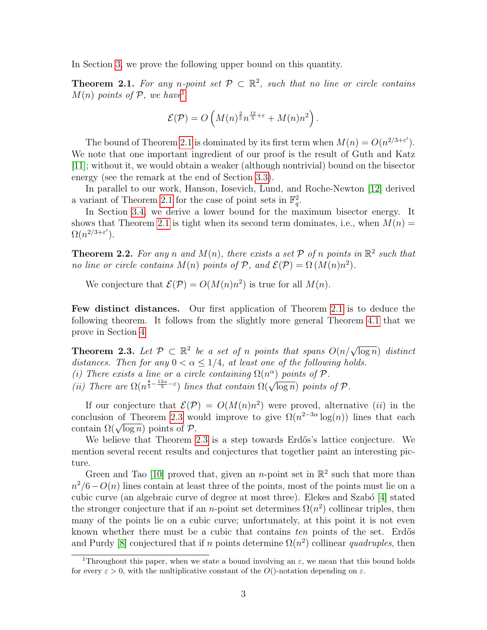In Section [3,](#page-4-0) we prove the following upper bound on this quantity.

<span id="page-2-1"></span>**Theorem 2.1.** For any n-point set  $\mathcal{P} \subset \mathbb{R}^2$ , such that no line or circle contains  $M(n)$  points of P, we have

$$
\mathcal{E}(\mathcal{P}) = O\left(M(n)^{\frac{2}{5}}n^{\frac{12}{5}+\varepsilon} + M(n)n^2\right).
$$

The bound of Theorem [2.1](#page-2-1) is dominated by its first term when  $M(n) = O(n^{2/3 + \varepsilon'})$ . We note that one important ingredient of our proof is the result of Guth and Katz [\[11\]](#page-16-2); without it, we would obtain a weaker (although nontrivial) bound on the bisector energy (see the remark at the end of Section [3.3\)](#page-8-0).

In parallel to our work, Hanson, Iosevich, Lund, and Roche-Newton [\[12\]](#page-16-7) derived a variant of Theorem [2.1](#page-2-1) for the case of point sets in  $\mathbb{F}_q^2$ .

In Section [3.4,](#page-10-0) we derive a lower bound for the maximum bisector energy. It shows that Theorem [2.1](#page-2-1) is tight when its second term dominates, i.e., when  $M(n) =$  $\Omega(n^{2/3+\varepsilon'})$ .

<span id="page-2-3"></span>**Theorem 2.2.** For any n and  $M(n)$ , there exists a set  $P$  of n points in  $\mathbb{R}^2$  such that no line or circle contains  $M(n)$  points of  $P$ , and  $\mathcal{E}(P) = \Omega(M(n)n^2)$ .

We conjecture that  $\mathcal{E}(\mathcal{P}) = O(M(n)n^2)$  is true for all  $M(n)$ .

Few distinct distances. Our first application of Theorem [2.1](#page-2-1) is to deduce the following theorem. It follows from the slightly more general Theorem [4.1](#page-10-1) that we prove in Section [4.](#page-10-2)

<span id="page-2-2"></span>**Theorem 2.3.** Let  $\mathcal{P} \subset \mathbb{R}^2$  be a set of n points that spans  $O(n/\sqrt{\log n})$  distinct distances. Then for any  $0 < \alpha \leq 1/4$ , at least one of the following holds. (i) There exists a line or a circle containing  $\Omega(n^{\alpha})$  points of  $\mathcal{P}$ . (ii) There are  $\Omega(n^{\frac{8}{5}-\frac{12\alpha}{5}-\varepsilon})$  lines that contain  $\Omega(\sqrt{\log n})$  points of  $\mathcal P$ .

If our conjecture that  $\mathcal{E}(\mathcal{P}) = O(M(n)n^2)$  were proved, alternative *(ii)* in the conclusion of Theorem [2.3](#page-2-2) would improve to give  $\Omega(n^{2-3\alpha} \log(n))$  lines that each contain  $\Omega(\sqrt{\log n})$  points of  $\mathcal P$ .

We believe that Theorem [2.3](#page-2-2) is a step towards Erdős's lattice conjecture. We mention several recent results and conjectures that together paint an interesting picture.

Green and Tao [\[10\]](#page-16-8) proved that, given an *n*-point set in  $\mathbb{R}^2$  such that more than  $n^2/6-O(n)$  lines contain at least three of the points, most of the points must lie on a cubic curve (an algebraic curve of degree at most three). Elekes and Szabó [\[4\]](#page-16-9) stated the stronger conjecture that if an *n*-point set determines  $\Omega(n^2)$  collinear triples, then many of the points lie on a cubic curve; unfortunately, at this point it is not even known whether there must be a cubic that contains ten points of the set. Erdős and Purdy [\[8\]](#page-16-10) conjectured that if n points determine  $\Omega(n^2)$  collinear quadruples, then

<span id="page-2-0"></span><sup>&</sup>lt;sup>1</sup>Throughout this paper, when we state a bound involving an  $\varepsilon$ , we mean that this bound holds for every  $\varepsilon > 0$ , with the multiplicative constant of the O()-notation depending on  $\varepsilon$ .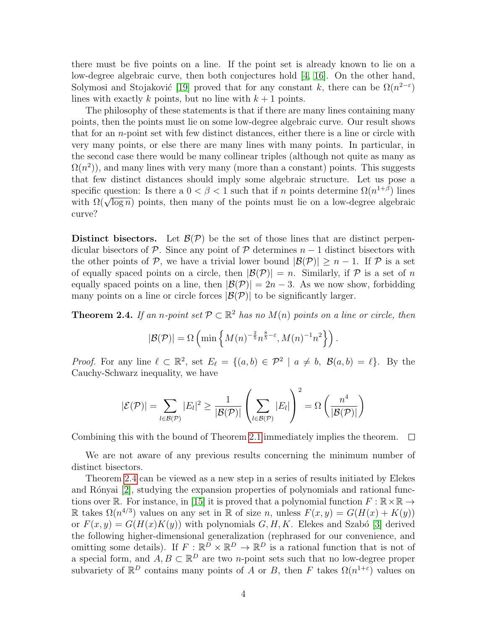there must be five points on a line. If the point set is already known to lie on a low-degree algebraic curve, then both conjectures hold [\[4,](#page-16-9) [16\]](#page-17-2). On the other hand, Solymosi and Stojaković [\[19\]](#page-17-3) proved that for any constant k, there can be  $\Omega(n^{2-\epsilon})$ lines with exactly k points, but no line with  $k+1$  points.

The philosophy of these statements is that if there are many lines containing many points, then the points must lie on some low-degree algebraic curve. Our result shows that for an n-point set with few distinct distances, either there is a line or circle with very many points, or else there are many lines with many points. In particular, in the second case there would be many collinear triples (although not quite as many as  $\Omega(n^2)$ ), and many lines with very many (more than a constant) points. This suggests that few distinct distances should imply some algebraic structure. Let us pose a specific question: Is there a  $0 < \beta < 1$  such that if n points determine  $\Omega(n^{1+\beta})$  lines with  $\Omega(\sqrt{\log n})$  points, then many of the points must lie on a low-degree algebraic curve?

Distinct bisectors. Let  $\mathcal{B}(\mathcal{P})$  be the set of those lines that are distinct perpendicular bisectors of P. Since any point of P determines  $n-1$  distinct bisectors with the other points of P, we have a trivial lower bound  $|\mathcal{B}(\mathcal{P})| > n - 1$ . If P is a set of equally spaced points on a circle, then  $|\mathcal{B}(\mathcal{P})| = n$ . Similarly, if  $\mathcal P$  is a set of n equally spaced points on a line, then  $|\mathcal{B}(\mathcal{P})| = 2n - 3$ . As we now show, forbidding many points on a line or circle forces  $|\mathcal{B}(\mathcal{P})|$  to be significantly larger.

<span id="page-3-0"></span>**Theorem 2.4.** If an n-point set  $\mathcal{P} \subset \mathbb{R}^2$  has no  $M(n)$  points on a line or circle, then

$$
|\mathcal{B}(\mathcal{P})| = \Omega\left(\min\left\{M(n)^{-\frac{2}{5}}n^{\frac{8}{5}-\varepsilon}, M(n)^{-1}n^2\right\}\right).
$$

*Proof.* For any line  $\ell \subset \mathbb{R}^2$ , set  $E_{\ell} = \{(a, b) \in \mathcal{P}^2 \mid a \neq b, \mathcal{B}(a, b) = \ell\}$ . By the Cauchy-Schwarz inequality, we have

$$
|\mathcal{E}(\mathcal{P})| = \sum_{l \in \mathcal{B}(\mathcal{P})} |E_l|^2 \ge \frac{1}{|\mathcal{B}(\mathcal{P})|} \left(\sum_{l \in \mathcal{B}(\mathcal{P})} |E_l|\right)^2 = \Omega \left(\frac{n^4}{|\mathcal{B}(\mathcal{P})|}\right)
$$

Combining this with the bound of Theorem [2.1](#page-2-1) immediately implies the theorem.  $\Box$ 

We are not aware of any previous results concerning the minimum number of distinct bisectors.

Theorem [2.4](#page-3-0) can be viewed as a new step in a series of results initiated by Elekes and Rónyai [\[2\]](#page-16-1), studying the expansion properties of polynomials and rational func-tions over R. For instance, in [\[15\]](#page-17-4) it is proved that a polynomial function  $F : \mathbb{R} \times \mathbb{R} \to$ R takes  $\Omega(n^{4/3})$  values on any set in R of size n, unless  $F(x, y) = G(H(x) + K(y))$ or  $F(x, y) = G(H(x)K(y))$  with polynomials G, H, K. Elekes and Szabó [\[3\]](#page-16-11) derived the following higher-dimensional generalization (rephrased for our convenience, and omitting some details). If  $F: \mathbb{R}^D \times \mathbb{R}^D \to \mathbb{R}^D$  is a rational function that is not of a special form, and  $A, B \subset \mathbb{R}^D$  are two *n*-point sets such that no low-degree proper subvariety of  $\mathbb{R}^D$  contains many points of A or B, then F takes  $\Omega(n^{1+\varepsilon})$  values on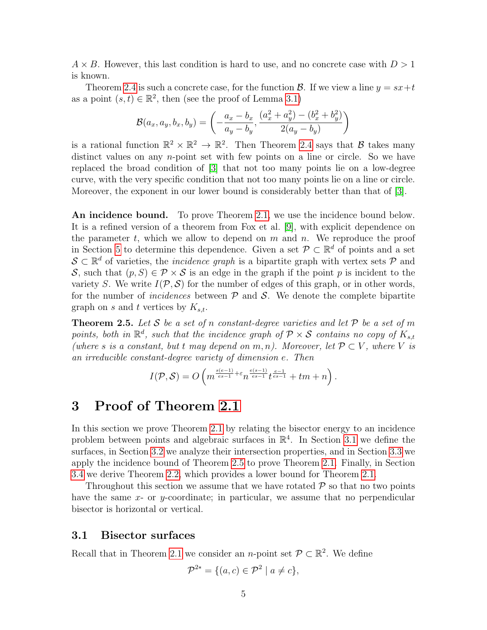$A \times B$ . However, this last condition is hard to use, and no concrete case with  $D > 1$ is known.

Theorem [2.4](#page-3-0) is such a concrete case, for the function  $\mathcal{B}$ . If we view a line  $y = sx+t$ as a point  $(s, t) \in \mathbb{R}^2$ , then (see the proof of Lemma [3.1\)](#page-5-0)

$$
\mathcal{B}(a_x, a_y, b_x, b_y) = \left(-\frac{a_x - b_x}{a_y - b_y}, \frac{(a_x^2 + a_y^2) - (b_x^2 + b_y^2)}{2(a_y - b_y)}\right)
$$

is a rational function  $\mathbb{R}^2 \times \mathbb{R}^2 \to \mathbb{R}^2$ . Then Theorem [2.4](#page-3-0) says that  $\beta$  takes many distinct values on any  $n$ -point set with few points on a line or circle. So we have replaced the broad condition of [\[3\]](#page-16-11) that not too many points lie on a low-degree curve, with the very specific condition that not too many points lie on a line or circle. Moreover, the exponent in our lower bound is considerably better than that of [\[3\]](#page-16-11).

An incidence bound. To prove Theorem [2.1,](#page-2-1) we use the incidence bound below. It is a refined version of a theorem from Fox et al. [\[9\]](#page-16-12), with explicit dependence on the parameter t, which we allow to depend on  $m$  and  $n$ . We reproduce the proof in Section [5](#page-12-0) to determine this dependence. Given a set  $\mathcal{P} \subset \mathbb{R}^d$  of points and a set  $\mathcal{S} \subset \mathbb{R}^d$  of varieties, the *incidence graph* is a bipartite graph with vertex sets  $\mathcal{P}$  and S, such that  $(p, S) \in \mathcal{P} \times \mathcal{S}$  is an edge in the graph if the point p is incident to the variety S. We write  $I(\mathcal{P}, \mathcal{S})$  for the number of edges of this graph, or in other words, for the number of *incidences* between  $P$  and  $S$ . We denote the complete bipartite graph on s and t vertices by  $K_{s,t}$ .

<span id="page-4-2"></span>**Theorem 2.5.** Let S be a set of n constant-degree varieties and let P be a set of m points, both in  $\mathbb{R}^d$ , such that the incidence graph of  $\mathcal{P} \times \mathcal{S}$  contains no copy of  $K_{s,t}$ (where s is a constant, but t may depend on m, n). Moreover, let  $\mathcal{P} \subset V$ , where V is an irreducible constant-degree variety of dimension e. Then

$$
I(\mathcal{P}, \mathcal{S}) = O\left(m^{\frac{s(e-1)}{es-1} + \varepsilon} n^{\frac{e(s-1)}{es-1}} t^{\frac{e-1}{es-1}} + t m + n\right).
$$

## <span id="page-4-0"></span>3 Proof of Theorem [2.1](#page-2-1)

In this section we prove Theorem [2.1](#page-2-1) by relating the bisector energy to an incidence problem between points and algebraic surfaces in  $\mathbb{R}^4$ . In Section [3.1](#page-4-1) we define the surfaces, in Section [3.2](#page-6-0) we analyze their intersection properties, and in Section [3.3](#page-8-0) we apply the incidence bound of Theorem [2.5](#page-4-2) to prove Theorem [2.1.](#page-2-1) Finally, in Section [3.4](#page-10-0) we derive Theorem [2.2,](#page-2-3) which provides a lower bound for Theorem [2.1.](#page-2-1)

Throughout this section we assume that we have rotated  $P$  so that no two points have the same  $x$ - or y-coordinate; in particular, we assume that no perpendicular bisector is horizontal or vertical.

#### <span id="page-4-1"></span>3.1 Bisector surfaces

Recall that in Theorem [2.1](#page-2-1) we consider an *n*-point set  $\mathcal{P} \subset \mathbb{R}^2$ . We define

$$
\mathcal{P}^{2*} = \{ (a,c) \in \mathcal{P}^2 \mid a \neq c \},\
$$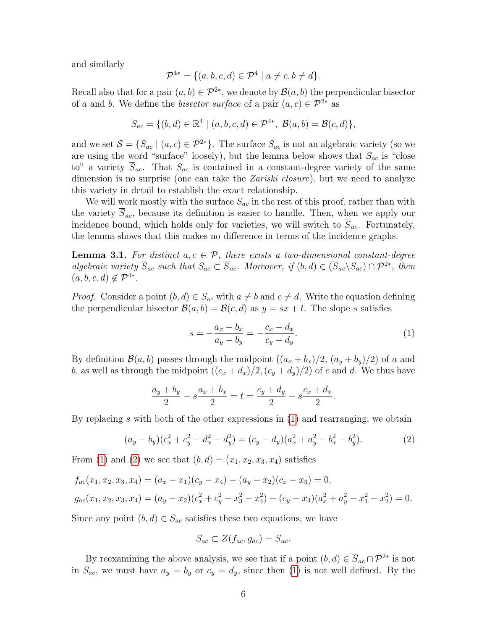and similarly

$$
\mathcal{P}^{4*} = \{ (a, b, c, d) \in \mathcal{P}^4 \mid a \neq c, b \neq d \}.
$$

Recall also that for a pair  $(a, b) \in \mathcal{P}^{2*}$ , we denote by  $\mathcal{B}(a, b)$  the perpendicular bisector of a and b. We define the bisector surface of a pair  $(a, c) \in \mathcal{P}^{2*}$  as

$$
S_{ac} = \{ (b, d) \in \mathbb{R}^4 \mid (a, b, c, d) \in \mathcal{P}^{4*}, \ \mathcal{B}(a, b) = \mathcal{B}(c, d) \},
$$

and we set  $S = \{S_{ac} \mid (a, c) \in \mathcal{P}^{2*}\}\.$  The surface  $S_{ac}$  is not an algebraic variety (so we are using the word "surface" loosely), but the lemma below shows that  $S_{ac}$  is "close to" a variety  $\overline{S}_{ac}$ . That  $S_{ac}$  is contained in a constant-degree variety of the same dimension is no surprise (one can take the *Zariski closure*), but we need to analyze this variety in detail to establish the exact relationship.

We will work mostly with the surface  $S_{ac}$  in the rest of this proof, rather than with the variety  $\overline{S}_{ac}$ , because its definition is easier to handle. Then, when we apply our incidence bound, which holds only for varieties, we will switch to  $S_{ac}$ . Fortunately, the lemma shows that this makes no difference in terms of the incidence graphs.

<span id="page-5-0"></span>**Lemma 3.1.** For distinct  $a, c \in \mathcal{P}$ , there exists a two-dimensional constant-degree algebraic variety  $\overline{S}_{ac}$  such that  $S_{ac} \subset \overline{S}_{ac}$ . Moreover, if  $(b,d) \in (\overline{S}_{ac} \setminus S_{ac}) \cap \mathcal{P}^{2*}$ , then  $(a, b, c, d) \notin \mathcal{P}^{4*}.$ 

*Proof.* Consider a point  $(b, d) \in S_{ac}$  with  $a \neq b$  and  $c \neq d$ . Write the equation defining the perpendicular bisector  $\mathcal{B}(a, b) = \mathcal{B}(c, d)$  as  $y = sx + t$ . The slope s satisfies

<span id="page-5-1"></span>
$$
s = -\frac{a_x - b_x}{a_y - b_y} = -\frac{c_x - d_x}{c_y - d_y}.
$$
 (1)

<span id="page-5-2"></span>.

By definition  $\mathcal{B}(a, b)$  passes through the midpoint  $((a_x + b_x)/2, (a_y + b_y)/2)$  of a and b, as well as through the midpoint  $((c_x + d_x)/2, (c_y + d_y)/2)$  of c and d. We thus have

$$
\frac{a_y + b_y}{2} - s \frac{a_x + b_x}{2} = t = \frac{c_y + d_y}{2} - s \frac{c_x + d_x}{2}
$$

By replacing s with both of the other expressions in  $(1)$  and rearranging, we obtain

$$
(a_y - b_y)(c_x^2 + c_y^2 - d_x^2 - d_y^2) = (c_y - d_y)(a_x^2 + a_y^2 - b_x^2 - b_y^2). \tag{2}
$$

From [\(1\)](#page-5-1) and [\(2\)](#page-5-2) we see that  $(b, d) = (x_1, x_2, x_3, x_4)$  satisfies

$$
f_{ac}(x_1, x_2, x_3, x_4) = (a_x - x_1)(c_y - x_4) - (a_y - x_2)(c_x - x_3) = 0,
$$
  
\n
$$
g_{ac}(x_1, x_2, x_3, x_4) = (a_y - x_2)(c_x^2 + c_y^2 - x_3^2 - x_4^2) - (c_y - x_4)(a_x^2 + a_y^2 - x_1^2 - x_2^2) = 0.
$$

Since any point  $(b, d) \in S_{ac}$  satisfies these two equations, we have

$$
S_{ac} \subset Z(f_{ac}, g_{ac}) = \overline{S}_{ac}.
$$

By reexamining the above analysis, we see that if a point  $(b, d) \in \overline{S}_{ac} \cap \mathcal{P}^{2*}$  is not in  $S_{ac}$ , we must have  $a_y = b_y$  or  $c_y = d_y$ , since then [\(1\)](#page-5-1) is not well defined. By the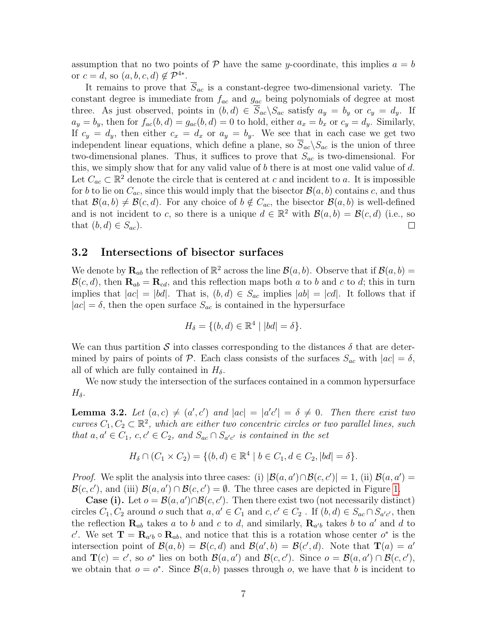assumption that no two points of  $P$  have the same y-coordinate, this implies  $a = b$ or  $c = d$ , so  $(a, b, c, d) \notin \mathcal{P}^{4*}$ .

It remains to prove that  $\overline{S}_{ac}$  is a constant-degree two-dimensional variety. The constant degree is immediate from  $f_{ac}$  and  $g_{ac}$  being polynomials of degree at most three. As just observed, points in  $(b, d) \in \overline{S}_{ac} \backslash S_{ac}$  satisfy  $a_y = b_y$  or  $c_y = d_y$ . If  $a_y = b_y$ , then for  $f_{ac}(b, d) = g_{ac}(b, d) = 0$  to hold, either  $a_x = b_x$  or  $c_y = d_y$ . Similarly, If  $c_y = d_y$ , then either  $c_x = d_x$  or  $a_y = b_y$ . We see that in each case we get two independent linear equations, which define a plane, so  $\overline{S}_{ac}\backslash S_{ac}$  is the union of three two-dimensional planes. Thus, it suffices to prove that  $S_{ac}$  is two-dimensional. For this, we simply show that for any valid value of  $b$  there is at most one valid value of  $d$ . Let  $C_{ac} \subset \mathbb{R}^2$  denote the circle that is centered at c and incident to a. It is impossible for b to lie on  $C_{ac}$ , since this would imply that the bisector  $\mathcal{B}(a, b)$  contains c, and thus that  $\mathcal{B}(a, b) \neq \mathcal{B}(c, d)$ . For any choice of  $b \notin C_{ac}$ , the bisector  $\mathcal{B}(a, b)$  is well-defined and is not incident to c, so there is a unique  $d \in \mathbb{R}^2$  with  $\mathcal{B}(a, b) = \mathcal{B}(c, d)$  (i.e., so that  $(b, d) \in S_{ac}$ ).

#### <span id="page-6-0"></span>3.2 Intersections of bisector surfaces

We denote by  $\mathbf{R}_{ab}$  the reflection of  $\mathbb{R}^2$  across the line  $\mathcal{B}(a, b)$ . Observe that if  $\mathcal{B}(a, b) =$  $\mathcal{B}(c, d)$ , then  $\mathbf{R}_{ab} = \mathbf{R}_{cd}$ , and this reflection maps both a to b and c to d; this in turn implies that  $|ac| = |bd|$ . That is,  $(b, d) \in S_{ac}$  implies  $|ab| = |cd|$ . It follows that if  $|ac| = \delta$ , then the open surface  $S_{ac}$  is contained in the hypersurface

$$
H_{\delta} = \{ (b, d) \in \mathbb{R}^4 \mid |bd| = \delta \}.
$$

We can thus partition S into classes corresponding to the distances  $\delta$  that are determined by pairs of points of P. Each class consists of the surfaces  $S_{ac}$  with  $|ac| = \delta$ , all of which are fully contained in  $H_{\delta}$ .

We now study the intersection of the surfaces contained in a common hypersurface  $H_{\delta}$ .

<span id="page-6-1"></span>**Lemma 3.2.** Let  $(a, c) \neq (a', c')$  and  $|ac| = |a'c'| = \delta \neq 0$ . Then there exist two curves  $C_1, C_2 \subset \mathbb{R}^2$ , which are either two concentric circles or two parallel lines, such that  $a, a' \in C_1$ ,  $c, c' \in C_2$ , and  $S_{ac} \cap S_{a'c'}$  is contained in the set

$$
H_{\delta} \cap (C_1 \times C_2) = \{ (b, d) \in \mathbb{R}^4 \mid b \in C_1, d \in C_2, |bd| = \delta \}.
$$

*Proof.* We split the analysis into three cases: (i)  $|\mathcal{B}(a, a') \cap \mathcal{B}(c, c')| = 1$ , (ii)  $\mathcal{B}(a, a') =$  $\mathcal{B}(c, c')$ , and (iii)  $\mathcal{B}(a, a') \cap \mathcal{B}(c, c') = \emptyset$ . The three cases are depicted in Figure [1.](#page-7-0)

**Case (i).** Let  $o = B(a, a') \cap B(c, c')$ . Then there exist two (not necessarily distinct) circles  $C_1, C_2$  around o such that  $a, a' \in C_1$  and  $c, c' \in C_2$ . If  $(b, d) \in S_{ac} \cap S_{a'c'}$ , then the reflection  $\mathbf{R}_{ab}$  takes a to b and c to d, and similarly,  $\mathbf{R}_{a'b}$  takes b to a' and d to c'. We set  $\mathbf{T} = \mathbf{R}_{a'b} \circ \mathbf{R}_{ab}$ , and notice that this is a rotation whose center  $o^*$  is the intersection point of  $\mathcal{B}(a, b) = \mathcal{B}(c, d)$  and  $\mathcal{B}(a', b) = \mathcal{B}(c', d)$ . Note that  $\mathbf{T}(a) = a'$ and  $\mathbf{T}(c) = c'$ , so  $o^*$  lies on both  $\mathcal{B}(a, a')$  and  $\mathcal{B}(c, c')$ . Since  $o = \mathcal{B}(a, a') \cap \mathcal{B}(c, c')$ , we obtain that  $o = o^*$ . Since  $\mathcal{B}(a, b)$  passes through o, we have that b is incident to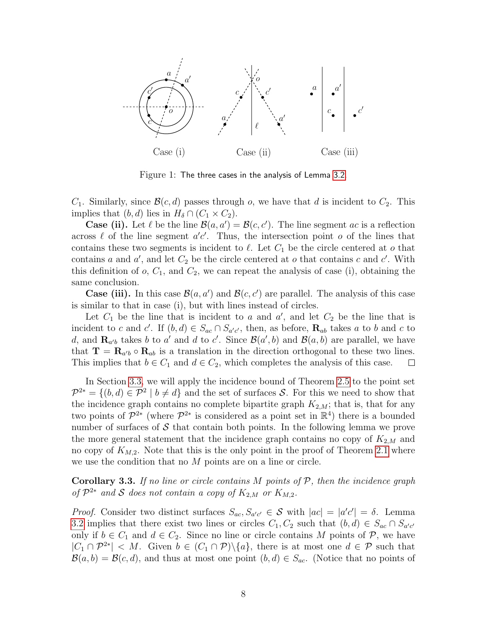

<span id="page-7-0"></span>Figure 1: The three cases in the analysis of Lemma [3.2.](#page-6-1)

 $C_1$ . Similarly, since  $\mathcal{B}(c, d)$  passes through o, we have that d is incident to  $C_2$ . This implies that  $(b, d)$  lies in  $H_\delta \cap (C_1 \times C_2)$ .

**Case (ii).** Let  $\ell$  be the line  $\mathcal{B}(a, a') = \mathcal{B}(c, c')$ . The line segment ac is a reflection across  $\ell$  of the line segment  $a'c'$ . Thus, the intersection point  $o$  of the lines that contains these two segments is incident to  $\ell$ . Let  $C_1$  be the circle centered at o that contains a and  $a'$ , and let  $C_2$  be the circle centered at o that contains c and c'. With this definition of  $o, C_1$ , and  $C_2$ , we can repeat the analysis of case (i), obtaining the same conclusion.

**Case (iii).** In this case  $\mathcal{B}(a, a')$  and  $\mathcal{B}(c, c')$  are parallel. The analysis of this case is similar to that in case (i), but with lines instead of circles.

Let  $C_1$  be the line that is incident to a and  $a'$ , and let  $C_2$  be the line that is incident to c and c'. If  $(b, d) \in S_{ac} \cap S_{a'c'}$ , then, as before,  $\mathbf{R}_{ab}$  takes a to b and c to d, and  $\mathbf{R}_{a'b}$  takes b to a' and d to c'. Since  $\mathcal{B}(a',b)$  and  $\mathcal{B}(a,b)$  are parallel, we have that  $\mathbf{T} = \mathbf{R}_{a'b} \circ \mathbf{R}_{ab}$  is a translation in the direction orthogonal to these two lines. This implies that  $b \in C_1$  and  $d \in C_2$ , which completes the analysis of this case.

In Section [3.3,](#page-8-0) we will apply the incidence bound of Theorem [2.5](#page-4-2) to the point set  $\mathcal{P}^{2*} = \{(b, d) \in \mathcal{P}^2 \mid b \neq d\}$  and the set of surfaces S. For this we need to show that the incidence graph contains no complete bipartite graph  $K_{2,M}$ ; that is, that for any two points of  $\mathcal{P}^{2*}$  (where  $\mathcal{P}^{2*}$  is considered as a point set in  $\mathbb{R}^4$ ) there is a bounded number of surfaces of  $\mathcal S$  that contain both points. In the following lemma we prove the more general statement that the incidence graph contains no copy of  $K_{2,M}$  and no copy of  $K_{M,2}$ . Note that this is the only point in the proof of Theorem [2.1](#page-2-1) where we use the condition that no M points are on a line or circle.

<span id="page-7-1"></span>**Corollary 3.3.** If no line or circle contains  $M$  points of  $P$ , then the incidence graph of  $\mathcal{P}^{2*}$  and S does not contain a copy of  $K_{2,M}$  or  $K_{M,2}$ .

*Proof.* Consider two distinct surfaces  $S_{ac}$ ,  $S_{a'c'} \in S$  with  $|ac| = |a'c'| = \delta$ . Lemma [3.2](#page-6-1) implies that there exist two lines or circles  $C_1, C_2$  such that  $(b,d) \in S_{ac} \cap S_{a'c'}$ only if  $b \in C_1$  and  $d \in C_2$ . Since no line or circle contains M points of P, we have  $|C_1 \cap \mathcal{P}^{2*}| < M$ . Given  $b \in (C_1 \cap \mathcal{P}) \setminus \{a\}$ , there is at most one  $d \in \mathcal{P}$  such that  $\mathcal{B}(a, b) = \mathcal{B}(c, d)$ , and thus at most one point  $(b, d) \in S_{ac}$ . (Notice that no points of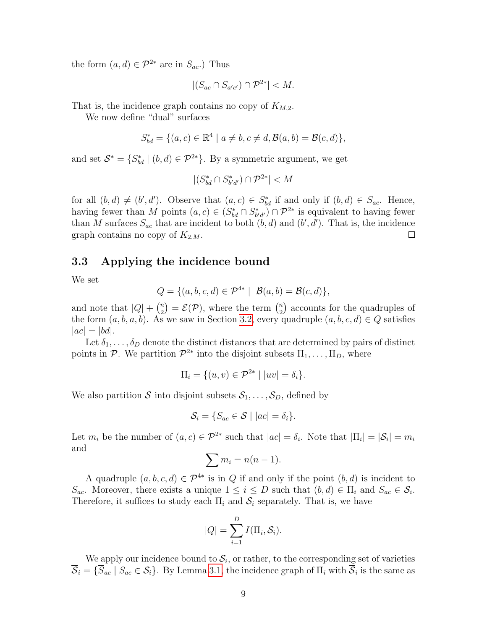the form  $(a, d) \in \mathcal{P}^{2*}$  are in  $S_{ac}$ .) Thus

$$
|(S_{ac} \cap S_{a'c'}) \cap \mathcal{P}^{2*}| < M.
$$

That is, the incidence graph contains no copy of  $K_{M,2}$ .

We now define "dual" surfaces

$$
S_{bd}^* = \{ (a, c) \in \mathbb{R}^4 \mid a \neq b, c \neq d, \mathcal{B}(a, b) = \mathcal{B}(c, d) \},
$$

and set  $S^* = \{S^*_{bd} \mid (b, d) \in \mathcal{P}^{2*}\}\$ . By a symmetric argument, we get

$$
|(S^*_{bd}\cap S^*_{b'd'})\cap \mathcal{P}^{2*}|
$$

for all  $(b, d) \neq (b', d')$ . Observe that  $(a, c) \in S_{bd}^*$  if and only if  $(b, d) \in S_{ac}$ . Hence, having fewer than M points  $(a, c) \in (S_{bd}^* \cap S_{b'd'}^*) \cap \mathcal{P}^{2*}$  is equivalent to having fewer than M surfaces  $S_{ac}$  that are incident to both  $(b, d)$  and  $(b', d')$ . That is, the incidence graph contains no copy of  $K_{2,M}$ .  $\Box$ 

### <span id="page-8-0"></span>3.3 Applying the incidence bound

We set

$$
Q = \{ (a, b, c, d) \in \mathcal{P}^{4*} \mid \mathcal{B}(a, b) = \mathcal{B}(c, d) \},
$$

and note that  $|Q| + {n \choose 2}$  $\binom{n}{2} = \mathcal{E}(\mathcal{P}),$  where the term  $\binom{n}{2}$  $n_2$ ) accounts for the quadruples of the form  $(a, b, a, b)$ . As we saw in Section [3.2,](#page-6-0) every quadruple  $(a, b, c, d) \in Q$  satisfies  $|ac| = |bd|.$ 

Let  $\delta_1, \ldots, \delta_D$  denote the distinct distances that are determined by pairs of distinct points in  $\mathcal{P}$ . We partition  $\mathcal{P}^{2*}$  into the disjoint subsets  $\Pi_1, \ldots, \Pi_D$ , where

$$
\Pi_i = \{(u, v) \in \mathcal{P}^{2*} \mid |uv| = \delta_i\}.
$$

We also partition S into disjoint subsets  $S_1, \ldots, S_D$ , defined by

$$
\mathcal{S}_i = \{ S_{ac} \in \mathcal{S} \mid |ac| = \delta_i \}.
$$

Let  $m_i$  be the number of  $(a, c) \in \mathcal{P}^{2*}$  such that  $|ac| = \delta_i$ . Note that  $|\Pi_i| = |\mathcal{S}_i| = m_i$ and

$$
\sum m_i = n(n-1).
$$

A quadruple  $(a, b, c, d) \in \mathcal{P}^{4*}$  is in Q if and only if the point  $(b, d)$  is incident to  $S_{ac}$ . Moreover, there exists a unique  $1 \leq i \leq D$  such that  $(b,d) \in \Pi_i$  and  $S_{ac} \in \mathcal{S}_i$ . Therefore, it suffices to study each  $\Pi_i$  and  $S_i$  separately. That is, we have

$$
|Q| = \sum_{i=1}^D I(\Pi_i, \mathcal{S}_i).
$$

We apply our incidence bound to  $S_i$ , or rather, to the corresponding set of varieties  $S_i = \{S_{ac} \mid S_{ac} \in S_i\}$ . By Lemma [3.1,](#page-5-0) the incidence graph of  $\Pi_i$  with  $S_i$  is the same as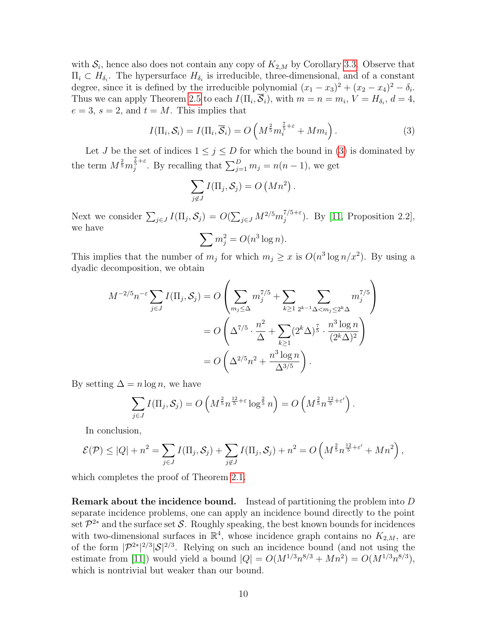with  $S_i$ , hence also does not contain any copy of  $K_{2,M}$  by Corollary [3.3.](#page-7-1) Observe that  $\Pi_i \subset H_{\delta_i}$ . The hypersurface  $H_{\delta_i}$  is irreducible, three-dimensional, and of a constant degree, since it is defined by the irreducible polynomial  $(x_1 - x_3)^2 + (x_2 - x_4)^2 - \delta_i$ . Thus we can apply Theorem [2.5](#page-4-2) to each  $I(\Pi_i, \mathcal{S}_i)$ , with  $m = n = m_i$ ,  $V = H_{\delta_i}$ ,  $d = 4$ ,  $e = 3$ ,  $s = 2$ , and  $t = M$ . This implies that

<span id="page-9-0"></span>
$$
I(\Pi_i, \mathcal{S}_i) = I(\Pi_i, \overline{\mathcal{S}}_i) = O\left(M^{\frac{2}{5}} m_i^{\frac{7}{5} + \varepsilon} + M m_i\right).
$$
 (3)

Let J be the set of indices  $1 \leq j \leq D$  for which the bound in [\(3\)](#page-9-0) is dominated by the term  $M^{\frac{2}{5}}m_j^{\frac{7}{5}+\varepsilon}$ . By recalling that  $\sum_{j=1}^D m_j = n(n-1)$ , we get

$$
\sum_{j \notin J} I(\Pi_j, S_j) = O\left(Mn^2\right).
$$

Next we consider  $\sum_{j\in J} I(\Pi_j, \mathcal{S}_j) = O(\sum_{j\in J} M^{2/5} m_j^{7/5+\varepsilon})$  $j^{(75+\epsilon)}$ . By [\[11,](#page-16-2) Proposition 2.2], we have

$$
\sum m_j^2 = O(n^3 \log n).
$$

This implies that the number of  $m_j$  for which  $m_j \ge x$  is  $O(n^3 \log n/x^2)$ . By using a dyadic decomposition, we obtain

$$
M^{-2/5}n^{-\varepsilon} \sum_{j\in J} I(\Pi_j, S_j) = O\left(\sum_{m_j \leq \Delta} m_j^{7/5} + \sum_{k \geq 1} \sum_{2^{k-1}\Delta < m_j \leq 2^k \Delta} m_j^{7/5}\right)
$$
  
= 
$$
O\left(\Delta^{7/5} \cdot \frac{n^2}{\Delta} + \sum_{k \geq 1} (2^k \Delta)^{\frac{7}{5}} \cdot \frac{n^3 \log n}{(2^k \Delta)^2}\right)
$$
  
= 
$$
O\left(\Delta^{2/5}n^2 + \frac{n^3 \log n}{\Delta^{3/5}}\right).
$$

By setting  $\Delta = n \log n$ , we have

$$
\sum_{j\in J} I(\Pi_j, \mathcal{S}_j) = O\left(M^{\frac{2}{5}} n^{\frac{12}{5}+\varepsilon} \log^{\frac{2}{5}} n\right) = O\left(M^{\frac{2}{5}} n^{\frac{12}{5}+\varepsilon'}\right).
$$

In conclusion,

$$
\mathcal{E}(\mathcal{P}) \leq |Q| + n^2 = \sum_{j \in J} I(\Pi_j, \mathcal{S}_j) + \sum_{j \notin J} I(\Pi_j, \mathcal{S}_j) + n^2 = O\left(M^{\frac{2}{5}} n^{\frac{12}{5} + \varepsilon'} + Mn^2\right),
$$

which completes the proof of Theorem [2.1.](#page-2-1)

**Remark about the incidence bound.** Instead of partitioning the problem into  $D$ separate incidence problems, one can apply an incidence bound directly to the point set  $\mathcal{P}^{2*}$  and the surface set S. Roughly speaking, the best known bounds for incidences with two-dimensional surfaces in  $\mathbb{R}^4$ , whose incidence graph contains no  $K_{2,M}$ , are of the form  $|\mathcal{P}^{2*}|^{2/3}|\mathcal{S}|^{2/3}$ . Relying on such an incidence bound (and not using the estimate from [\[11\]](#page-16-2)) would yield a bound  $|Q| = O(M^{1/3}n^{8/3} + Mn^2) = O(M^{1/3}n^{8/3}),$ which is nontrivial but weaker than our bound.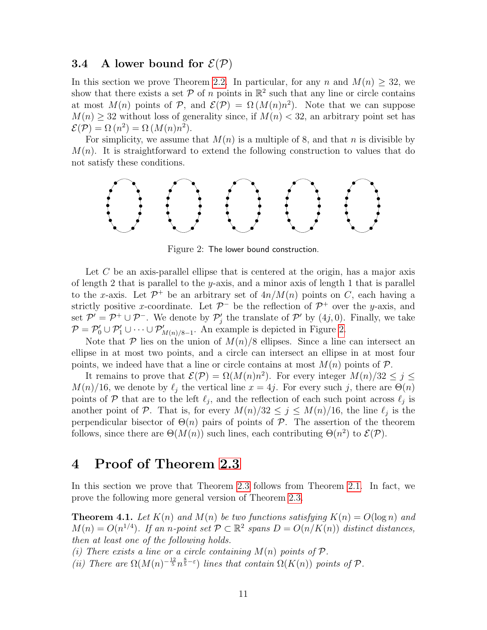#### <span id="page-10-0"></span>**3.4** A lower bound for  $\mathcal{E}(\mathcal{P})$

In this section we prove Theorem [2.2.](#page-2-3) In particular, for any n and  $M(n) \geq 32$ , we show that there exists a set  $P$  of n points in  $\mathbb{R}^2$  such that any line or circle contains at most  $M(n)$  points of  $P$ , and  $\mathcal{E}(P) = \Omega(M(n)n^2)$ . Note that we can suppose  $M(n) \geq 32$  without loss of generality since, if  $M(n) < 32$ , an arbitrary point set has  $\mathcal{E}(\mathcal{P}) = \Omega(n^2) = \Omega(M(n)n^2).$ 

For simplicity, we assume that  $M(n)$  is a multiple of 8, and that n is divisible by  $M(n)$ . It is straightforward to extend the following construction to values that do not satisfy these conditions.



<span id="page-10-3"></span>Figure 2: The lower bound construction.

Let  $C$  be an axis-parallel ellipse that is centered at the origin, has a major axis of length 2 that is parallel to the y-axis, and a minor axis of length 1 that is parallel to the x-axis. Let  $\mathcal{P}^+$  be an arbitrary set of  $4n/M(n)$  points on C, each having a strictly positive x-coordinate. Let  $\mathcal{P}^-$  be the reflection of  $\mathcal{P}^+$  over the y-axis, and set  $\mathcal{P}' = \mathcal{P}^+ \cup \mathcal{P}^-$ . We denote by  $\mathcal{P}'_j$  the translate of  $\mathcal{P}'$  by  $(4j, 0)$ . Finally, we take  $P = P'_0 \cup P'_1 \cup \cdots \cup P'_{M(n)/8-1}$ . An example is depicted in Figure [2.](#page-10-3)

Note that P lies on the union of  $M(n)/8$  ellipses. Since a line can intersect an ellipse in at most two points, and a circle can intersect an ellipse in at most four points, we indeed have that a line or circle contains at most  $M(n)$  points of  $P$ .

It remains to prove that  $\mathcal{E}(\mathcal{P}) = \Omega(M(n)n^2)$ . For every integer  $M(n)/32 \leq j \leq$  $M(n)/16$ , we denote by  $\ell_j$  the vertical line  $x = 4j$ . For every such j, there are  $\Theta(n)$ points of P that are to the left  $\ell_j$ , and the reflection of each such point across  $\ell_j$  is another point of P. That is, for every  $M(n)/32 \leq j \leq M(n)/16$ , the line  $\ell_j$  is the perpendicular bisector of  $\Theta(n)$  pairs of points of P. The assertion of the theorem follows, since there are  $\Theta(M(n))$  such lines, each contributing  $\Theta(n^2)$  to  $\mathcal{E}(\mathcal{P})$ .

### <span id="page-10-2"></span>4 Proof of Theorem [2.3](#page-2-2)

In this section we prove that Theorem [2.3](#page-2-2) follows from Theorem [2.1.](#page-2-1) In fact, we prove the following more general version of Theorem [2.3.](#page-2-2)

<span id="page-10-1"></span>**Theorem 4.1.** Let  $K(n)$  and  $M(n)$  be two functions satisfying  $K(n) = O(\log n)$  and  $M(n) = O(n^{1/4})$ . If an n-point set  $P \subset \mathbb{R}^2$  spans  $D = O(n/K(n))$  distinct distances, then at least one of the following holds.

(i) There exists a line or a circle containing  $M(n)$  points of  $\mathcal{P}$ .

(ii) There are  $\Omega(M(n)^{-\frac{12}{5}}n^{\frac{8}{5}-\varepsilon})$  lines that contain  $\Omega(K(n))$  points of  $\mathcal P$ .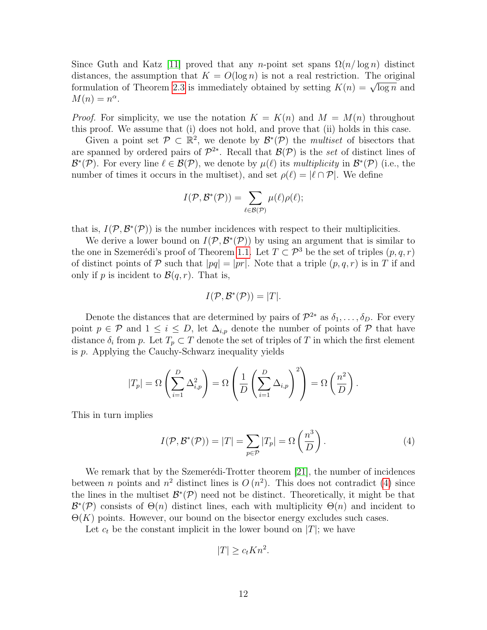Since Guth and Katz [\[11\]](#page-16-2) proved that any n-point set spans  $\Omega(n/\log n)$  distinct distances, the assumption that  $K = O(\log n)$  is not a real restriction. The original formulation of Theorem [2.3](#page-2-2) is immediately obtained by setting  $K(n) = \sqrt{\log n}$  and  $M(n) = n^{\alpha}.$ 

*Proof.* For simplicity, we use the notation  $K = K(n)$  and  $M = M(n)$  throughout this proof. We assume that (i) does not hold, and prove that (ii) holds in this case.

Given a point set  $\mathcal{P} \subset \mathbb{R}^2$ , we denote by  $\mathcal{B}^*(\mathcal{P})$  the *multiset* of bisectors that are spanned by ordered pairs of  $\mathcal{P}^{2*}$ . Recall that  $\mathcal{B}(\mathcal{P})$  is the set of distinct lines of  $\mathcal{B}^*(\mathcal{P})$ . For every line  $\ell \in \mathcal{B}(\mathcal{P})$ , we denote by  $\mu(\ell)$  its *multiplicity* in  $\mathcal{B}^*(\mathcal{P})$  (i.e., the number of times it occurs in the multiset), and set  $\rho(\ell) = |\ell \cap \mathcal{P}|$ . We define

$$
I(\mathcal{P},\mathcal{B}^*(\mathcal{P}))=\sum_{\ell\in\mathcal{B}(\mathcal{P})}\mu(\ell)\rho(\ell);
$$

that is,  $I(\mathcal{P}, \mathcal{B}^*(\mathcal{P}))$  is the number incidences with respect to their multiplicities.

We derive a lower bound on  $I(\mathcal{P}, \mathcal{B}^*(\mathcal{P}))$  by using an argument that is similar to the one in Szemerédi's proof of Theorem [1.1.](#page-1-0) Let  $T \subset \mathcal{P}^3$  be the set of triples  $(p, q, r)$ of distinct points of P such that  $|pq| = |pr|$ . Note that a triple  $(p, q, r)$  is in T if and only if p is incident to  $\mathcal{B}(q,r)$ . That is,

$$
I(\mathcal{P}, \mathcal{B}^*(\mathcal{P})) = |T|.
$$

Denote the distances that are determined by pairs of  $\mathcal{P}^{2*}$  as  $\delta_1, \ldots, \delta_D$ . For every point  $p \in \mathcal{P}$  and  $1 \leq i \leq D$ , let  $\Delta_{i,p}$  denote the number of points of  $\mathcal{P}$  that have distance  $\delta_i$  from p. Let  $T_p \subset T$  denote the set of triples of T in which the first element is p. Applying the Cauchy-Schwarz inequality yields

$$
|T_p| = \Omega\left(\sum_{i=1}^D \Delta_{i,p}^2\right) = \Omega\left(\frac{1}{D}\left(\sum_{i=1}^D \Delta_{i,p}\right)^2\right) = \Omega\left(\frac{n^2}{D}\right).
$$

This in turn implies

<span id="page-11-0"></span>
$$
I(\mathcal{P}, \mathcal{B}^*(\mathcal{P})) = |T| = \sum_{p \in \mathcal{P}} |T_p| = \Omega\left(\frac{n^3}{D}\right).
$$
 (4)

We remark that by the Szemerédi-Trotter theorem  $[21]$ , the number of incidences between *n* points and  $n^2$  distinct lines is  $O(n^2)$ . This does not contradict [\(4\)](#page-11-0) since the lines in the multiset  $\mathcal{B}^*(\mathcal{P})$  need not be distinct. Theoretically, it might be that  $\mathcal{B}^*(\mathcal{P})$  consists of  $\Theta(n)$  distinct lines, each with multiplicity  $\Theta(n)$  and incident to  $\Theta(K)$  points. However, our bound on the bisector energy excludes such cases.

Let  $c_t$  be the constant implicit in the lower bound on  $|T|$ ; we have

$$
|T| \ge c_t Kn^2.
$$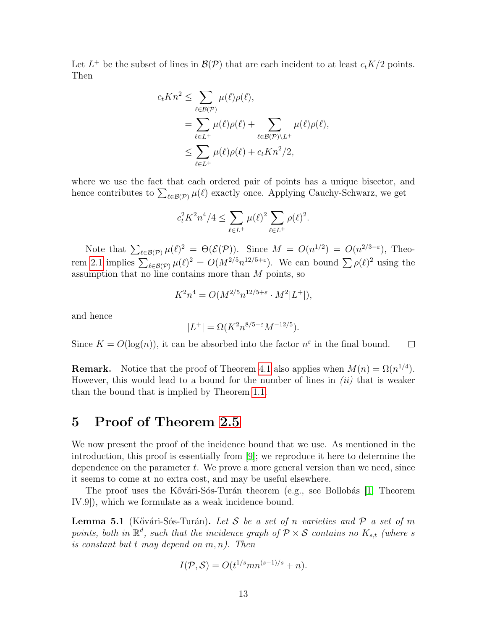Let  $L^+$  be the subset of lines in  $\mathcal{B}(\mathcal{P})$  that are each incident to at least  $c_tK/2$  points. Then

$$
c_t K n^2 \leq \sum_{\ell \in \mathcal{B}(\mathcal{P})} \mu(\ell) \rho(\ell),
$$
  
= 
$$
\sum_{\ell \in L^+} \mu(\ell) \rho(\ell) + \sum_{\ell \in \mathcal{B}(\mathcal{P}) \backslash L^+} \mu(\ell) \rho(\ell),
$$
  

$$
\leq \sum_{\ell \in L^+} \mu(\ell) \rho(\ell) + c_t K n^2 / 2,
$$

where we use the fact that each ordered pair of points has a unique bisector, and hence contributes to  $\sum_{\ell \in \mathcal{B}(\mathcal{P})} \mu(\ell)$  exactly once. Applying Cauchy-Schwarz, we get

$$
c_t^2 K^2 n^4/4 \le \sum_{\ell \in L^+} \mu(\ell)^2 \sum_{\ell \in L^+} \rho(\ell)^2.
$$

Note that  $\sum_{\ell \in \mathcal{B}(\mathcal{P})} \mu(\ell)^2 = \Theta(\mathcal{E}(\mathcal{P}))$ . Since  $M = O(n^{1/2}) = O(n^{2/3-\epsilon})$ , Theo-rem [2.1](#page-2-1) implies  $\sum_{\ell \in \mathcal{B}(\mathcal{P})} \mu(\ell)^2 = O(M^{2/5} n^{12/5+\epsilon})$ . We can bound  $\sum \rho(\ell)^2$  using the assumption that no line contains more than  $M$  points, so

$$
K^{2}n^{4} = O(M^{2/5}n^{12/5+\varepsilon} \cdot M^{2}|L^{+}|),
$$

and hence

$$
|L^+| = \Omega(K^2 n^{8/5 - \varepsilon} M^{-12/5}).
$$

Since  $K = O(\log(n))$ , it can be absorbed into the factor  $n^{\varepsilon}$  in the final bound.  $\Box$ 

**Remark.** Notice that the proof of Theorem [4.1](#page-10-1) also applies when  $M(n) = \Omega(n^{1/4})$ . However, this would lead to a bound for the number of lines in  $(ii)$  that is weaker than the bound that is implied by Theorem [1.1.](#page-1-0)

### <span id="page-12-0"></span>5 Proof of Theorem [2.5](#page-4-2)

We now present the proof of the incidence bound that we use. As mentioned in the introduction, this proof is essentially from [\[9\]](#page-16-12); we reproduce it here to determine the dependence on the parameter  $t$ . We prove a more general version than we need, since it seems to come at no extra cost, and may be useful elsewhere.

The proof uses the Kővári-Sós-Turán theorem (e.g., see Bollobás [\[1,](#page-16-13) Theorem IV.9]), which we formulate as a weak incidence bound.

<span id="page-12-1"></span>**Lemma 5.1** (Kővári-Sós-Turán). Let S be a set of n varieties and  $P$  a set of m points, both in  $\mathbb{R}^d$ , such that the incidence graph of  $\mathcal{P} \times \mathcal{S}$  contains no  $K_{s,t}$  (where s is constant but  $t$  may depend on  $m, n$ ). Then

$$
I(\mathcal{P}, \mathcal{S}) = O(t^{1/s}mn^{(s-1)/s} + n).
$$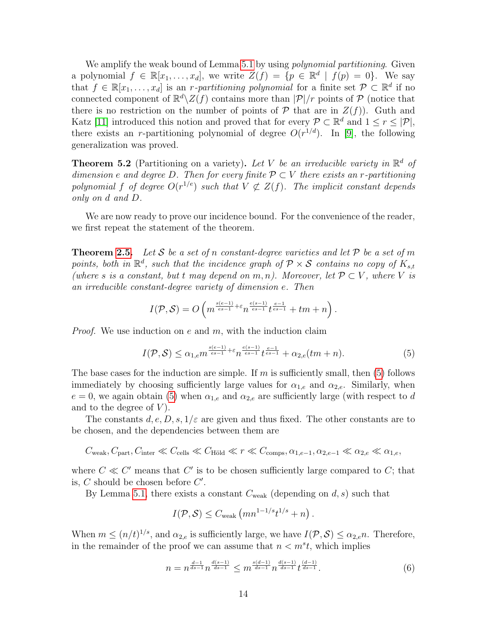We amplify the weak bound of Lemma [5.1](#page-12-1) by using *polynomial partitioning*. Given a polynomial  $f \in \mathbb{R}[x_1,\ldots,x_d]$ , we write  $Z(f) = \{p \in \mathbb{R}^d \mid f(p) = 0\}$ . We say that  $f \in \mathbb{R}[x_1, \ldots, x_d]$  is an *r*-partitioning polynomial for a finite set  $\mathcal{P} \subset \mathbb{R}^d$  if no connected component of  $\mathbb{R}^d \setminus Z(f)$  contains more than  $|\mathcal{P}|/r$  points of  $\mathcal{P}$  (notice that there is no restriction on the number of points of  $P$  that are in  $Z(f)$ ). Guth and Katz [\[11\]](#page-16-2) introduced this notion and proved that for every  $P \subset \mathbb{R}^d$  and  $1 \leq r \leq |\mathcal{P}|$ , there exists an r-partitioning polynomial of degree  $O(r^{1/d})$ . In [\[9\]](#page-16-12), the following generalization was proved.

<span id="page-13-1"></span>**Theorem 5.2** (Partitioning on a variety). Let V be an irreducible variety in  $\mathbb{R}^d$  of dimension e and degree D. Then for every finite  $P \subset V$  there exists an r-partitioning polynomial f of degree  $O(r^{1/e})$  such that  $V \not\subset Z(f)$ . The implicit constant depends only on d and D.

We are now ready to prove our incidence bound. For the convenience of the reader, we first repeat the statement of the theorem.

**Theorem [2.5.](#page-4-2)** Let S be a set of n constant-degree varieties and let  $P$  be a set of m points, both in  $\mathbb{R}^d$ , such that the incidence graph of  $\mathcal{P} \times \mathcal{S}$  contains no copy of  $K_{s,t}$ (where s is a constant, but t may depend on m, n). Moreover, let  $\mathcal{P} \subset V$ , where V is an irreducible constant-degree variety of dimension e. Then

$$
I(\mathcal{P},\mathcal{S})=O\left(m^{\frac{s(e-1)}{es-1}+\varepsilon}n^{\frac{e(s-1)}{es-1}}t^{\frac{e-1}{es-1}}+tm+n\right).
$$

*Proof.* We use induction on e and  $m$ , with the induction claim

<span id="page-13-0"></span>
$$
I(\mathcal{P}, \mathcal{S}) \le \alpha_{1, e} m^{\frac{s(e-1)}{es-1} + \varepsilon} n^{\frac{e(s-1)}{es-1}} t^{\frac{e-1}{es-1}} + \alpha_{2, e}(tm+n). \tag{5}
$$

The base cases for the induction are simple. If  $m$  is sufficiently small, then [\(5\)](#page-13-0) follows immediately by choosing sufficiently large values for  $\alpha_{1,e}$  and  $\alpha_{2,e}$ . Similarly, when  $e = 0$ , we again obtain [\(5\)](#page-13-0) when  $\alpha_{1,e}$  and  $\alpha_{2,e}$  are sufficiently large (with respect to d and to the degree of  $V$ ).

The constants  $d, e, D, s, 1/\varepsilon$  are given and thus fixed. The other constants are to be chosen, and the dependencies between them are

$$
C_{\text{weak}}, C_{\text{part}}, C_{\text{inter}} \ll C_{\text{cells}} \ll C_{\text{Höld}} \ll r \ll C_{\text{comps}}, \alpha_{1,e-1}, \alpha_{2,e-1} \ll \alpha_{2,e} \ll \alpha_{1,e},
$$

where  $C \ll C'$  means that  $C'$  is to be chosen sufficiently large compared to  $C$ ; that is,  $C$  should be chosen before  $C'$ .

By Lemma [5.1,](#page-12-1) there exists a constant  $C_{weak}$  (depending on d, s) such that

$$
I(\mathcal{P}, \mathcal{S}) \leq C_{\text{weak}} \left( mn^{1-1/s} t^{1/s} + n \right).
$$

When  $m \leq (n/t)^{1/s}$ , and  $\alpha_{2,e}$  is sufficiently large, we have  $I(\mathcal{P}, \mathcal{S}) \leq \alpha_{2,e} n$ . Therefore, in the remainder of the proof we can assume that  $n < m<sup>s</sup>t$ , which implies

<span id="page-13-2"></span>
$$
n = n^{\frac{d-1}{ds-1}} n^{\frac{d(s-1)}{ds-1}} \leq m^{\frac{s(d-1)}{ds-1}} n^{\frac{d(s-1)}{ds-1}} t^{\frac{(d-1)}{ds-1}}.
$$
 (6)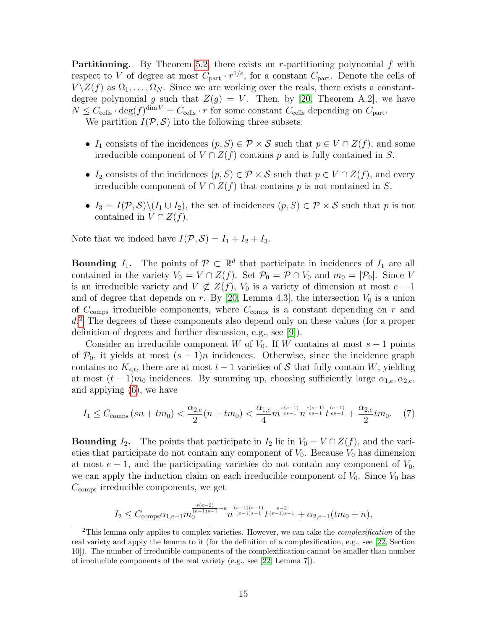**Partitioning.** By Theorem [5.2,](#page-13-1) there exists an r-partitioning polynomial  $f$  with respect to V of degree at most  $C_{part} \cdot r^{1/e}$ , for a constant  $C_{part}$ . Denote the cells of  $V \setminus Z(f)$  as  $\Omega_1, \ldots, \Omega_N$ . Since we are working over the reals, there exists a constantdegree polynomial g such that  $Z(g) = V$ . Then, by [\[20,](#page-17-6) Theorem A.2], we have  $N \leq C_{\text{cells}} \cdot \deg(f)^{\dim V} = C_{\text{cells}} \cdot r$  for some constant  $C_{\text{cells}}$  depending on  $C_{\text{part}}$ . We partition  $I(\mathcal{P}, \mathcal{S})$  into the following three subsets:

- $I_1$  consists of the incidences  $(p, S) \in \mathcal{P} \times \mathcal{S}$  such that  $p \in V \cap Z(f)$ , and some irreducible component of  $V \cap Z(f)$  contains p and is fully contained in S.
- I<sub>2</sub> consists of the incidences  $(p, S) \in \mathcal{P} \times \mathcal{S}$  such that  $p \in V \cap Z(f)$ , and every irreducible component of  $V \cap Z(f)$  that contains p is not contained in S.
- $I_3 = I(\mathcal{P}, \mathcal{S}) \setminus (I_1 \cup I_2)$ , the set of incidences  $(p, S) \in \mathcal{P} \times \mathcal{S}$  such that p is not contained in  $V \cap Z(f)$ .

Note that we indeed have  $I(\mathcal{P}, \mathcal{S}) = I_1 + I_2 + I_3$ .

**Bounding**  $I_1$ . The points of  $\mathcal{P} \subset \mathbb{R}^d$  that participate in incidences of  $I_1$  are all contained in the variety  $V_0 = V \cap Z(f)$ . Set  $\mathcal{P}_0 = \mathcal{P} \cap V_0$  and  $m_0 = |\mathcal{P}_0|$ . Since V is an irreducible variety and  $V \not\subset Z(f)$ ,  $V_0$  is a variety of dimension at most  $e - 1$ and of degree that depends on  $r$ . By [\[20,](#page-17-6) Lemma 4.3], the intersection  $V_0$  is a union of  $C_{\text{comps}}$  irreducible components, where  $C_{\text{comps}}$  is a constant depending on r and d. [2](#page-14-0) The degrees of these components also depend only on these values (for a proper definition of degrees and further discussion, e.g., see [\[9\]](#page-16-12)).

Consider an irreducible component W of  $V_0$ . If W contains at most  $s - 1$  points of  $\mathcal{P}_0$ , it yields at most  $(s-1)n$  incidences. Otherwise, since the incidence graph contains no  $K_{s,t}$ , there are at most  $t-1$  varieties of S that fully contain W, yielding at most  $(t-1)m_0$  incidences. By summing up, choosing sufficiently large  $\alpha_{1,e}, \alpha_{2,e}$ , and applying [\(6\)](#page-13-2), we have

<span id="page-14-1"></span>
$$
I_1 \leq C_{\text{comps}} \left( sn + tm_0 \right) < \frac{\alpha_{2,e}}{2} \left( n + tm_0 \right) < \frac{\alpha_{1,e}}{4} m^{\frac{s(e-1)}{es-1}} n^{\frac{e(s-1)}{es-1}} t^{\frac{(e-1)}{es-1}} + \frac{\alpha_{2,e}}{2} tm_0. \tag{7}
$$

**Bounding**  $I_2$ . The points that participate in  $I_2$  lie in  $V_0 = V \cap Z(f)$ , and the varieties that participate do not contain any component of  $V_0$ . Because  $V_0$  has dimension at most  $e-1$ , and the participating varieties do not contain any component of  $V_0$ , we can apply the induction claim on each irreducible component of  $V_0$ . Since  $V_0$  has  $C_{\text{comps}}$  irreducible components, we get

$$
I_2 \leq C_{\text{comps}} \alpha_{1,e-1} m_0^{\frac{s(e-2)}{(e-1)s-1}+\varepsilon} n^{\frac{(e-1)(s-1)}{(e-1)s-1}} t^{\frac{e-2}{(e-1)s-1}} + \alpha_{2,e-1}(tm_0+n),
$$

<span id="page-14-0"></span><sup>&</sup>lt;sup>2</sup>This lemma only applies to complex varieties. However, we can take the *complexification* of the real variety and apply the lemma to it (for the definition of a complexification, e.g., see [\[22,](#page-17-7) Section 10]). The number of irreducible components of the complexification cannot be smaller than number of irreducible components of the real variety (e.g., see [\[22,](#page-17-7) Lemma 7]).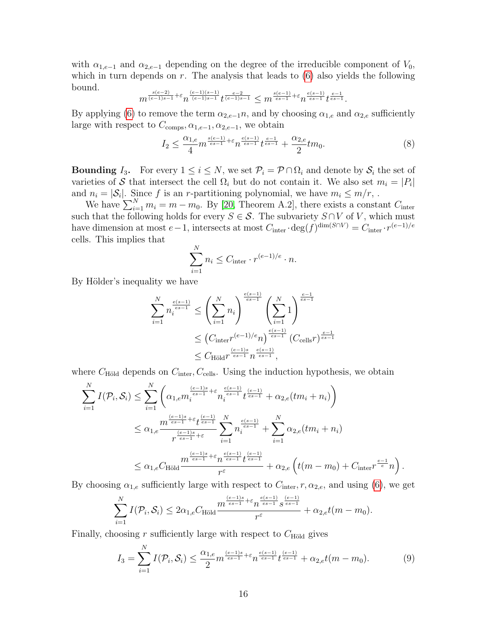with  $\alpha_{1,e-1}$  and  $\alpha_{2,e-1}$  depending on the degree of the irreducible component of  $V_0$ , which in turn depends on  $r$ . The analysis that leads to  $(6)$  also yields the following bound.

$$
m^{\frac{s(e-2)}{(e-1)s-1}+\varepsilon}n^{\frac{(e-1)(s-1)}{(e-1)s-1}}t^{\frac{e-2}{(e-1)s-1}}\leq m^{\frac{s(e-1)}{es-1}+\varepsilon}n^{\frac{e(s-1)}{es-1}}t^{\frac{e-1}{es-1}}.
$$

By applying [\(6\)](#page-13-2) to remove the term  $\alpha_{2,e-1}n$ , and by choosing  $\alpha_{1,e}$  and  $\alpha_{2,e}$  sufficiently large with respect to  $C_{\text{comps}}, \alpha_{1,e-1}, \alpha_{2,e-1}$ , we obtain

<span id="page-15-0"></span>
$$
I_2 \leq \frac{\alpha_{1,e}}{4} m^{\frac{s(e-1)}{es-1} + \varepsilon} n^{\frac{e(s-1)}{es-1}} t^{\frac{e-1}{es-1}} + \frac{\alpha_{2,e}}{2} t m_0. \tag{8}
$$

**Bounding**  $I_3$ . For every  $1 \leq i \leq N$ , we set  $\mathcal{P}_i = \mathcal{P} \cap \Omega_i$  and denote by  $\mathcal{S}_i$  the set of varieties of S that intersect the cell  $\Omega_i$  but do not contain it. We also set  $m_i = |P_i|$ and  $n_i = |\mathcal{S}_i|$ . Since f is an r-partitioning polynomial, we have  $m_i \leq m/r$ ,.

We have  $\sum_{i=1}^{N} m_i = m - m_0$ . By [\[20,](#page-17-6) Theorem A.2], there exists a constant  $C_{\text{inter}}$ such that the following holds for every  $S \in \mathcal{S}$ . The subvariety  $S \cap V$  of V, which must have dimension at most  $e-1$ , intersects at most  $C_{\text{inter}} \cdot \deg(f)^{\dim(S \cap V)} = C_{\text{inter}} \cdot r^{(e-1)/e}$ cells. This implies that

$$
\sum_{i=1}^{N} n_i \leq C_{\text{inter}} \cdot r^{(e-1)/e} \cdot n.
$$

By Hölder's inequality we have

$$
\sum_{i=1}^{N} n_i^{\frac{e(s-1)}{es-1}} \le \left(\sum_{i=1}^{N} n_i\right)^{\frac{e(s-1)}{es-1}} \left(\sum_{i=1}^{N} 1\right)^{\frac{e-1}{es-1}}
$$
\n
$$
\le \left(C_{\text{inter}} r^{(e-1)/e} n\right)^{\frac{e(s-1)}{es-1}} \left(C_{\text{cells}} r\right)^{\frac{e-1}{es-1}}
$$
\n
$$
\le C_{\text{Höld}} r^{\frac{(e-1)s}{es-1}} n^{\frac{e(s-1)}{es-1}},
$$

where  $C_{\text{Höld}}$  depends on  $C_{\text{inter}}$ ,  $C_{\text{cells}}$ . Using the induction hypothesis, we obtain

$$
\sum_{i=1}^{N} I(\mathcal{P}_{i}, \mathcal{S}_{i}) \leq \sum_{i=1}^{N} \left( \alpha_{1,e} m_{i}^{\frac{(e-1)s}{es-1} + \varepsilon} n_{i}^{\frac{e(s-1)}{es-1}} t^{\frac{(e-1)}{es-1}} + \alpha_{2,e} (tm_{i} + n_{i}) \right)
$$
\n
$$
\leq \alpha_{1,e} \frac{m^{\frac{(e-1)s}{es-1} + \varepsilon} t^{\frac{(e-1)}{es-1}}}{r^{\frac{(e-1)s}{es-1} + \varepsilon}} \sum_{i=1}^{N} n_{i}^{\frac{e(s-1)}{es-1}} + \sum_{i=1}^{N} \alpha_{2,e} (tm_{i} + n_{i})
$$
\n
$$
\leq \alpha_{1,e} C_{\text{Höld}} \frac{m^{\frac{(e-1)s}{es-1} + \varepsilon} n^{\frac{e(s-1)}{es-1}} t^{\frac{(e-1)}{es-1}}}{r^{\varepsilon}} + \alpha_{2,e} \left( t(m - m_{0}) + C_{\text{inter}} r^{\frac{e-1}{e}} n \right).
$$

By choosing  $\alpha_{1,e}$  sufficiently large with respect to  $C_{\text{inter}}$ ,  $r, \alpha_{2,e}$ , and using [\(6\)](#page-13-2), we get

$$
\sum_{i=1}^N I(\mathcal{P}_i, \mathcal{S}_i) \leq 2\alpha_{1,e} C_{\text{Höld}} \frac{m^{\frac{(e-1)s}{es-1} + \varepsilon} n^{\frac{e(s-1)}{es-1}} s^{\frac{(e-1)}{es-1}}}{r^{\varepsilon}} + \alpha_{2,e} t(m - m_0).
$$

Finally, choosing r sufficiently large with respect to  $C_{\text{Höld}}$  gives

<span id="page-15-1"></span>
$$
I_3 = \sum_{i=1}^{N} I(\mathcal{P}_i, \mathcal{S}_i) \le \frac{\alpha_{1,e}}{2} m^{\frac{(e-1)s}{es-1} + \varepsilon} n^{\frac{e(s-1)}{es-1}} t^{\frac{(e-1)}{es-1}} + \alpha_{2,e} t(m - m_0).
$$
 (9)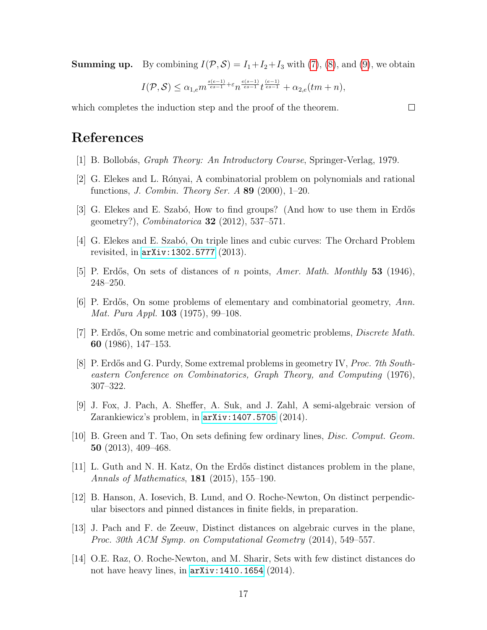**Summing up.** By combining  $I(\mathcal{P}, \mathcal{S}) = I_1 + I_2 + I_3$  with [\(7\)](#page-14-1), [\(8\)](#page-15-0), and [\(9\)](#page-15-1), we obtain

$$
I(\mathcal{P},\mathcal{S})\leq \alpha_{1,e} m^{\frac{s(e-1)}{es-1}+\varepsilon}n^{\frac{e(s-1)}{es-1}}t^{\frac{(e-1)}{es-1}}+\alpha_{2,e}(tm+n),
$$

which completes the induction step and the proof of the theorem.

### References

- <span id="page-16-13"></span>[1] B. Bollob´as, Graph Theory: An Introductory Course, Springer-Verlag, 1979.
- <span id="page-16-1"></span>[2] G. Elekes and L. R´onyai, A combinatorial problem on polynomials and rational functions, *J. Combin. Theory Ser. A* 89  $(2000)$ , 1–20.
- <span id="page-16-11"></span>[3] G. Elekes and E. Szabó, How to find groups? (And how to use them in Erdős geometry?), *Combinatorica* **32** (2012), 537–571.
- <span id="page-16-9"></span>[4] G. Elekes and E. Szabó, On triple lines and cubic curves: The Orchard Problem revisited, in [arXiv:1302.5777](http://arxiv.org/abs/1302.5777) (2013).
- <span id="page-16-3"></span>[5] P. Erdős, On sets of distances of n points, Amer. Math. Monthly 53 (1946), 248–250.
- <span id="page-16-4"></span>[6] P. Erdős, On some problems of elementary and combinatorial geometry,  $Ann.$ Mat. Pura Appl. 103 (1975), 99–108.
- <span id="page-16-0"></span>[7] P. Erdős, On some metric and combinatorial geometric problems, *Discrete Math.* 60 (1986), 147–153.
- <span id="page-16-10"></span>[8] P. Erdős and G. Purdy, Some extremal problems in geometry IV, *Proc. 7th South*eastern Conference on Combinatorics, Graph Theory, and Computing (1976), 307–322.
- <span id="page-16-12"></span>[9] J. Fox, J. Pach, A. Sheffer, A. Suk, and J. Zahl, A semi-algebraic version of Zarankiewicz's problem, in [arXiv:1407.5705](http://arxiv.org/abs/1407.5705) (2014).
- <span id="page-16-8"></span>[10] B. Green and T. Tao, On sets defining few ordinary lines, Disc. Comput. Geom. 50 (2013), 409–468.
- <span id="page-16-2"></span>[11] L. Guth and N. H. Katz, On the Erd˝os distinct distances problem in the plane, Annals of Mathematics, 181 (2015), 155–190.
- <span id="page-16-7"></span>[12] B. Hanson, A. Iosevich, B. Lund, and O. Roche-Newton, On distinct perpendicular bisectors and pinned distances in finite fields, in preparation.
- <span id="page-16-5"></span>[13] J. Pach and F. de Zeeuw, Distinct distances on algebraic curves in the plane, Proc. 30th ACM Symp. on Computational Geometry (2014), 549–557.
- <span id="page-16-6"></span>[14] O.E. Raz, O. Roche-Newton, and M. Sharir, Sets with few distinct distances do not have heavy lines, in [arXiv:1410.1654](http://arxiv.org/abs/1410.1654) (2014).

 $\Box$